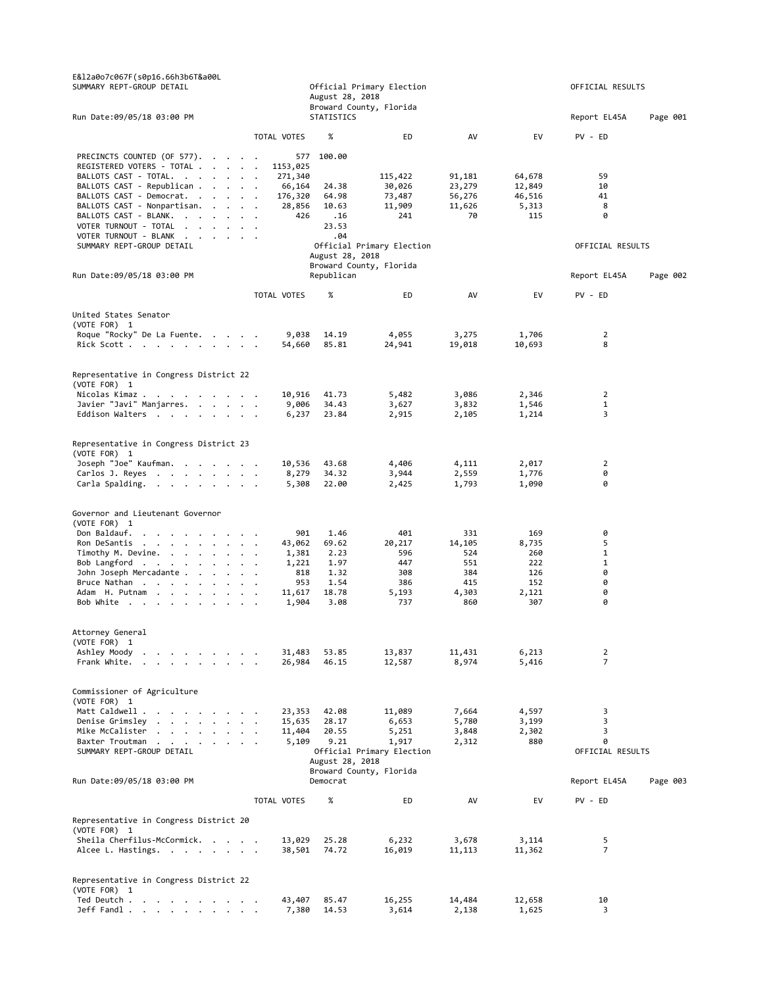| E&l2a0o7c067F(s0p16.66h3b6T&a00L<br>SUMMARY REPT-GROUP DETAIL                                                                                                                                                                                                                                                                                                         |                                      | August 28, 2018 | Official Primary Election<br>Broward County, Florida | OFFICIAL RESULTS |                  |                     |          |
|-----------------------------------------------------------------------------------------------------------------------------------------------------------------------------------------------------------------------------------------------------------------------------------------------------------------------------------------------------------------------|--------------------------------------|-----------------|------------------------------------------------------|------------------|------------------|---------------------|----------|
| Run Date: 09/05/18 03:00 PM                                                                                                                                                                                                                                                                                                                                           |                                      | STATISTICS      |                                                      |                  |                  | Report EL45A        | Page 001 |
|                                                                                                                                                                                                                                                                                                                                                                       | TOTAL VOTES                          | %               | ED                                                   | AV               | EV               | PV - ED             |          |
| PRECINCTS COUNTED (OF 577).<br>REGISTERED VOTERS - TOTAL<br>BALLOTS CAST - TOTAL.<br>BALLOTS CAST - Republican                                                                                                                                                                                                                                                        | 577<br>1153,025<br>271,340<br>66,164 | 100.00<br>24.38 | 115,422<br>30,026                                    | 91,181<br>23,279 | 64,678<br>12,849 | 59<br>10            |          |
| BALLOTS CAST - Democrat.                                                                                                                                                                                                                                                                                                                                              | 176,320                              | 64.98           | 73,487                                               | 56,276           | 46,516           | 41                  |          |
| BALLOTS CAST - Nonpartisan.                                                                                                                                                                                                                                                                                                                                           | 28,856                               | 10.63           | 11,909                                               | 11,626           | 5,313            | 8                   |          |
| BALLOTS CAST - BLANK.<br>VOTER TURNOUT - TOTAL                                                                                                                                                                                                                                                                                                                        | 426<br>$\ddot{\phantom{a}}$          | .16<br>23.53    | 241                                                  | 70               | 115              | 0                   |          |
| VOTER TURNOUT - BLANK                                                                                                                                                                                                                                                                                                                                                 |                                      | .04             |                                                      |                  |                  |                     |          |
| SUMMARY REPT-GROUP DETAIL                                                                                                                                                                                                                                                                                                                                             |                                      |                 | Official Primary Election                            |                  |                  | OFFICIAL RESULTS    |          |
|                                                                                                                                                                                                                                                                                                                                                                       |                                      | August 28, 2018 | Broward County, Florida                              |                  |                  |                     |          |
| Run Date:09/05/18 03:00 PM                                                                                                                                                                                                                                                                                                                                            |                                      | Republican      |                                                      |                  |                  | Report EL45A        | Page 002 |
|                                                                                                                                                                                                                                                                                                                                                                       | TOTAL VOTES                          | %               | ED                                                   | AV               | EV               | PV - ED             |          |
| United States Senator                                                                                                                                                                                                                                                                                                                                                 |                                      |                 |                                                      |                  |                  |                     |          |
| (VOTE FOR) 1                                                                                                                                                                                                                                                                                                                                                          |                                      |                 |                                                      |                  |                  |                     |          |
| Roque "Rocky" De La Fuente.<br>Rick Scott                                                                                                                                                                                                                                                                                                                             | 9,038<br>54,660                      | 14.19<br>85.81  | 4,055<br>24,941                                      | 3,275<br>19,018  | 1,706<br>10,693  | $\overline{2}$<br>8 |          |
|                                                                                                                                                                                                                                                                                                                                                                       |                                      |                 |                                                      |                  |                  |                     |          |
| Representative in Congress District 22<br>(VOTE FOR) 1                                                                                                                                                                                                                                                                                                                |                                      |                 |                                                      |                  |                  |                     |          |
| Nicolas Kimaz                                                                                                                                                                                                                                                                                                                                                         | 10,916                               | 41.73           | 5,482                                                | 3,086            | 2,346            | $\overline{2}$      |          |
| Javier "Javi" Manjarres.<br>Eddison Walters                                                                                                                                                                                                                                                                                                                           | 9,006<br>6,237                       | 34.43<br>23.84  | 3,627<br>2,915                                       | 3,832<br>2,105   | 1,546<br>1,214   | $\mathbf{1}$<br>3   |          |
|                                                                                                                                                                                                                                                                                                                                                                       |                                      |                 |                                                      |                  |                  |                     |          |
| Representative in Congress District 23<br>(VOTE FOR) 1                                                                                                                                                                                                                                                                                                                |                                      |                 |                                                      |                  |                  |                     |          |
| Joseph "Joe" Kaufman.<br>Carlos J. Reyes                                                                                                                                                                                                                                                                                                                              | 10,536<br>8,279                      | 43.68<br>34.32  | 4,406<br>3,944                                       | 4,111<br>2,559   | 2,017<br>1,776   | 2<br>0              |          |
| Carla Spalding.                                                                                                                                                                                                                                                                                                                                                       | 5,308                                | 22.00           | 2,425                                                | 1,793            | 1,090            | 0                   |          |
| Governor and Lieutenant Governor<br>(VOTE FOR) 1<br>Don Baldauf.                                                                                                                                                                                                                                                                                                      | 901                                  | 1.46            | 401                                                  | 331              | 169              | 0                   |          |
| Ron DeSantis                                                                                                                                                                                                                                                                                                                                                          | 43,062                               | 69.62           | 20,217                                               | 14,105           | 8,735            | 5                   |          |
| Timothy M. Devine.                                                                                                                                                                                                                                                                                                                                                    | 1,381                                | 2.23            | 596                                                  | 524              | 260              | $\mathbf{1}$        |          |
| Bob Langford<br>John Joseph Mercadante                                                                                                                                                                                                                                                                                                                                | 1,221<br>818                         | 1.97<br>1.32    | 447<br>308                                           | 551<br>384       | 222<br>126       | 1<br>0              |          |
| Bruce Nathan                                                                                                                                                                                                                                                                                                                                                          | 953                                  | 1.54            | 386                                                  | 415              | 152              | 0                   |          |
| Adam H. Putnam                                                                                                                                                                                                                                                                                                                                                        | 11,617                               | 18.78           | 5,193                                                | 4,303            | 2,121            | 0                   |          |
| Bob White<br>$\sim$                                                                                                                                                                                                                                                                                                                                                   | 1,904                                | 3.08            | 737                                                  | 860              | 307              | 0                   |          |
| Attorney General<br>(VOTE FOR) 1                                                                                                                                                                                                                                                                                                                                      |                                      |                 |                                                      |                  |                  |                     |          |
| Ashley Moody<br>the contract of the contract of the                                                                                                                                                                                                                                                                                                                   | 31,483                               | 53.85           | 13,837                                               | 11,431           | 6,213            | 2                   |          |
| Frank White.                                                                                                                                                                                                                                                                                                                                                          | 26,984                               | 46.15           | 12,587                                               | 8,974            | 5,416            | $\overline{7}$      |          |
| Commissioner of Agriculture<br>(VOTE FOR) 1                                                                                                                                                                                                                                                                                                                           |                                      |                 |                                                      |                  |                  |                     |          |
| Matt Caldwell .<br>$\mathbf{r}$ and $\mathbf{r}$ are the set of the set of the set of the set of the set of the set of the set of the set of the set of the set of the set of the set of the set of the set of the set of the set of the set of the set<br>Denise Grimsley<br>$\mathbf{r}$ , and $\mathbf{r}$ , and $\mathbf{r}$ , and $\mathbf{r}$<br>$\overline{a}$ | 23,353<br>15,635                     | 42.08<br>28.17  | 11,089<br>6,653                                      | 7,664<br>5,780   | 4,597<br>3,199   | 3<br>3              |          |
| Mike McCalister<br>$\mathbf{r} = \mathbf{r} - \mathbf{r} = \mathbf{r} - \mathbf{r} = \mathbf{r} - \mathbf{r} = \mathbf{r}$                                                                                                                                                                                                                                            | 11,404                               | 20.55           | 5,251                                                | 3,848            | 2,302            | 3                   |          |
| Baxter Troutman<br>$\begin{array}{cccccccccccccc} \bullet & \bullet & \bullet & \bullet & \bullet & \bullet & \bullet & \bullet & \bullet & \bullet \end{array}$<br>$\sim$                                                                                                                                                                                            | 5,109                                | 9.21            | 1,917                                                | 2,312            | 880              | 0                   |          |
| SUMMARY REPT-GROUP DETAIL                                                                                                                                                                                                                                                                                                                                             |                                      | August 28, 2018 | Official Primary Election                            |                  |                  | OFFICIAL RESULTS    |          |
|                                                                                                                                                                                                                                                                                                                                                                       |                                      |                 | Broward County, Florida                              |                  |                  |                     |          |
| Run Date:09/05/18 03:00 PM                                                                                                                                                                                                                                                                                                                                            |                                      | Democrat        |                                                      |                  |                  | Report EL45A        | Page 003 |
|                                                                                                                                                                                                                                                                                                                                                                       | TOTAL VOTES                          | %               | ED                                                   | AV               | EV               | PV - ED             |          |
| Representative in Congress District 20<br>(VOTE FOR) 1                                                                                                                                                                                                                                                                                                                |                                      |                 |                                                      |                  |                  |                     |          |
| Sheila Cherfilus-McCormick.                                                                                                                                                                                                                                                                                                                                           | 13,029                               | 25.28           | 6,232                                                | 3,678            | 3,114            | 5                   |          |
| Alcee L. Hastings.                                                                                                                                                                                                                                                                                                                                                    | 38,501                               | 74.72           | 16,019                                               | 11,113           | 11,362           | $\overline{7}$      |          |
| Representative in Congress District 22<br>(VOTE FOR) 1                                                                                                                                                                                                                                                                                                                |                                      |                 |                                                      |                  |                  |                     |          |
| Ted Deutch                                                                                                                                                                                                                                                                                                                                                            | 43,407                               | 85.47           | 16,255                                               | 14,484           | 12,658           | 10                  |          |
| $Jeff$ Fandl $\ldots$ $\ldots$ $\ldots$                                                                                                                                                                                                                                                                                                                               | 7,380                                | 14.53           | 3,614                                                | 2,138            | 1,625            | 3                   |          |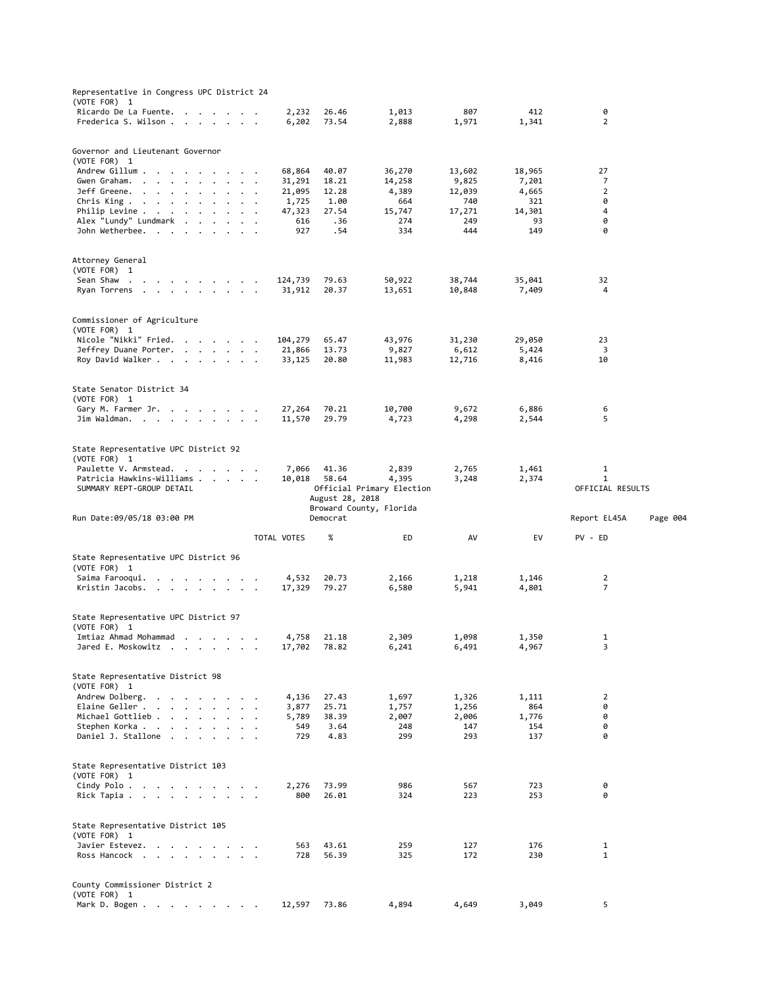| Imtiaz Ahmad Mohammad<br>Jared E. Moskowitz<br>$\cdots$<br>(VOTE FOR) 1<br>Andrew Dolberg.<br>$\cdot$ .<br>Elaine Geller<br>$\sim$ $\sim$ $\sim$<br>Michael Gottlieb<br>Stephen Korka<br>$\ddot{\phantom{a}}$<br>$\ddot{\phantom{a}}$<br>Daniel J. Stallone<br>$\sim$ $\sim$ $\sim$<br>$\ddot{\phantom{a}}$<br>$\ddot{\phantom{a}}$<br>(VOTE FOR) 1<br>Cindy Polo<br><b>Contract Contract</b><br>$\sim$ $\sim$<br>Rick Tapia<br>(VOTE FOR) 1<br>Javier Estevez.<br>$\cdot$ .<br>Ross Hancock<br>County Commissioner District 2<br>(VOTE FOR) 1 | 17,702<br>4,136<br>3,877<br>$\ddot{\phantom{a}}$<br>5,789<br>549<br>$\overline{\phantom{a}}$<br>729<br>$\ddot{\phantom{a}}$<br>2,276<br>800<br>563<br>728 | 27.43<br>25.71<br>38.39<br>3.64<br>4.83<br>73.99<br>26.01<br>43.61<br>56.39 | 1,697<br>1,757<br>2,007<br>248<br>299<br>986<br>324<br>259<br>325 | 1,326<br>1,256<br>2,006<br>147<br>293<br>567<br>223<br>127<br>172 | 1,111<br>864<br>1,776<br>154<br>137<br>723<br>253<br>176<br>230 | 2<br>0<br>0<br>0<br>0<br>0<br>0<br>$\mathbf{1}$<br>$\mathbf{1}$ |          |
|------------------------------------------------------------------------------------------------------------------------------------------------------------------------------------------------------------------------------------------------------------------------------------------------------------------------------------------------------------------------------------------------------------------------------------------------------------------------------------------------------------------------------------------------|-----------------------------------------------------------------------------------------------------------------------------------------------------------|-----------------------------------------------------------------------------|-------------------------------------------------------------------|-------------------------------------------------------------------|-----------------------------------------------------------------|-----------------------------------------------------------------|----------|
| State Representative District 98<br>State Representative District 103<br>State Representative District 105                                                                                                                                                                                                                                                                                                                                                                                                                                     |                                                                                                                                                           |                                                                             |                                                                   |                                                                   |                                                                 |                                                                 |          |
|                                                                                                                                                                                                                                                                                                                                                                                                                                                                                                                                                |                                                                                                                                                           |                                                                             |                                                                   |                                                                   |                                                                 |                                                                 |          |
|                                                                                                                                                                                                                                                                                                                                                                                                                                                                                                                                                |                                                                                                                                                           |                                                                             |                                                                   |                                                                   |                                                                 |                                                                 |          |
|                                                                                                                                                                                                                                                                                                                                                                                                                                                                                                                                                |                                                                                                                                                           |                                                                             |                                                                   |                                                                   |                                                                 |                                                                 |          |
|                                                                                                                                                                                                                                                                                                                                                                                                                                                                                                                                                |                                                                                                                                                           |                                                                             |                                                                   |                                                                   |                                                                 |                                                                 |          |
|                                                                                                                                                                                                                                                                                                                                                                                                                                                                                                                                                |                                                                                                                                                           |                                                                             |                                                                   |                                                                   |                                                                 |                                                                 |          |
|                                                                                                                                                                                                                                                                                                                                                                                                                                                                                                                                                |                                                                                                                                                           |                                                                             |                                                                   |                                                                   |                                                                 |                                                                 |          |
|                                                                                                                                                                                                                                                                                                                                                                                                                                                                                                                                                |                                                                                                                                                           |                                                                             |                                                                   |                                                                   |                                                                 |                                                                 |          |
|                                                                                                                                                                                                                                                                                                                                                                                                                                                                                                                                                |                                                                                                                                                           |                                                                             |                                                                   |                                                                   |                                                                 |                                                                 |          |
|                                                                                                                                                                                                                                                                                                                                                                                                                                                                                                                                                |                                                                                                                                                           |                                                                             |                                                                   |                                                                   |                                                                 |                                                                 |          |
|                                                                                                                                                                                                                                                                                                                                                                                                                                                                                                                                                |                                                                                                                                                           | 78.82                                                                       | 6,241                                                             | 6,491                                                             | 4,967                                                           | 3                                                               |          |
| (VOTE FOR) 1                                                                                                                                                                                                                                                                                                                                                                                                                                                                                                                                   | 4,758                                                                                                                                                     | 21.18                                                                       | 2,309                                                             | 1,098                                                             | 1,350                                                           | 1                                                               |          |
| State Representative UPC District 97                                                                                                                                                                                                                                                                                                                                                                                                                                                                                                           |                                                                                                                                                           |                                                                             |                                                                   |                                                                   |                                                                 |                                                                 |          |
| Kristin Jacobs.                                                                                                                                                                                                                                                                                                                                                                                                                                                                                                                                | 17,329                                                                                                                                                    | 79.27                                                                       | 6,580                                                             | 5,941                                                             | 4,801                                                           | 7                                                               |          |
| (VOTE FOR) 1<br>Saima Farooqui.<br>the company of the company of                                                                                                                                                                                                                                                                                                                                                                                                                                                                               | 4,532                                                                                                                                                     | 20.73                                                                       | 2,166                                                             | 1,218                                                             | 1,146                                                           | 2                                                               |          |
| State Representative UPC District 96                                                                                                                                                                                                                                                                                                                                                                                                                                                                                                           |                                                                                                                                                           |                                                                             |                                                                   |                                                                   |                                                                 |                                                                 |          |
|                                                                                                                                                                                                                                                                                                                                                                                                                                                                                                                                                | TOTAL VOTES                                                                                                                                               | %                                                                           | ED                                                                | AV                                                                | EV                                                              | PV - ED                                                         |          |
| Run Date:09/05/18 03:00 PM                                                                                                                                                                                                                                                                                                                                                                                                                                                                                                                     |                                                                                                                                                           | Democrat                                                                    | Broward County, Florida                                           |                                                                   |                                                                 | Report EL45A                                                    | Page 004 |
| SUMMARY REPT-GROUP DETAIL                                                                                                                                                                                                                                                                                                                                                                                                                                                                                                                      |                                                                                                                                                           | August 28, 2018                                                             | Official Primary Election                                         |                                                                   |                                                                 | OFFICIAL RESULTS                                                |          |
| Paulette V. Armstead. .<br>$\cdot$ $\cdot$ $\cdot$ $\cdot$ $\cdot$<br>Patricia Hawkins-Williams                                                                                                                                                                                                                                                                                                                                                                                                                                                | 7,066<br>10,018                                                                                                                                           | 41.36<br>58.64                                                              | 2,839<br>4,395                                                    | 2,765<br>3,248                                                    | 1,461<br>2,374                                                  | $\mathbf{1}$<br>$\mathbf{1}$                                    |          |
| State Representative UPC District 92<br>(VOTE FOR) 1                                                                                                                                                                                                                                                                                                                                                                                                                                                                                           |                                                                                                                                                           |                                                                             |                                                                   |                                                                   |                                                                 |                                                                 |          |
| Jim Waldman.                                                                                                                                                                                                                                                                                                                                                                                                                                                                                                                                   | 11,570                                                                                                                                                    | 29.79                                                                       | 4,723                                                             | 4,298                                                             | 2,544                                                           | 5                                                               |          |
| (VOTE FOR) 1<br>Gary M. Farmer Jr.                                                                                                                                                                                                                                                                                                                                                                                                                                                                                                             | 27,264                                                                                                                                                    | 70.21                                                                       | 10,700                                                            | 9,672                                                             | 6,886                                                           | 6                                                               |          |
| State Senator District 34                                                                                                                                                                                                                                                                                                                                                                                                                                                                                                                      |                                                                                                                                                           |                                                                             |                                                                   |                                                                   |                                                                 |                                                                 |          |
| Jeffrey Duane Porter.<br>Roy David Walker                                                                                                                                                                                                                                                                                                                                                                                                                                                                                                      | 21,866<br>33,125                                                                                                                                          | 13.73<br>20.80                                                              | 9,827<br>11,983                                                   | 6,612<br>12,716                                                   | 5,424<br>8,416                                                  | 3<br>10                                                         |          |
| (VOTE FOR) 1<br>Nicole "Nikki" Fried.                                                                                                                                                                                                                                                                                                                                                                                                                                                                                                          | 104,279                                                                                                                                                   | 65.47                                                                       | 43,976                                                            | 31,230                                                            | 29,050                                                          | 23                                                              |          |
| Commissioner of Agriculture                                                                                                                                                                                                                                                                                                                                                                                                                                                                                                                    |                                                                                                                                                           |                                                                             |                                                                   |                                                                   |                                                                 |                                                                 |          |
| (VOTE FOR) 1<br>Sean Shaw<br>Ryan Torrens                                                                                                                                                                                                                                                                                                                                                                                                                                                                                                      | 124,739<br>31,912                                                                                                                                         | 79.63<br>20.37                                                              | 50,922<br>13,651                                                  | 38,744<br>10,848                                                  | 35,041<br>7,409                                                 | 32<br>4                                                         |          |
| Attorney General                                                                                                                                                                                                                                                                                                                                                                                                                                                                                                                               |                                                                                                                                                           |                                                                             |                                                                   |                                                                   |                                                                 |                                                                 |          |
| John Wetherbee.                                                                                                                                                                                                                                                                                                                                                                                                                                                                                                                                | 927                                                                                                                                                       | .54                                                                         | 334                                                               | 444                                                               | 149                                                             | 0                                                               |          |
| Philip Levine .<br>the contract of the contract of<br>$\ddot{\phantom{0}}$<br>Alex "Lundy" Lundmark                                                                                                                                                                                                                                                                                                                                                                                                                                            | 47,323<br>$\ddot{\phantom{a}}$<br>616                                                                                                                     | 27.54<br>.36                                                                | 15,747<br>274                                                     | 17,271<br>249                                                     | 14,301<br>93                                                    | 4<br>0                                                          |          |
| Chris King $\cdots$ $\cdots$ $\cdots$                                                                                                                                                                                                                                                                                                                                                                                                                                                                                                          | 1,725                                                                                                                                                     | 1.00                                                                        | 664                                                               | 740                                                               | 321                                                             | 0                                                               |          |
| Gwen Graham.<br>and the company of the<br>$\cdot$<br>$\cdot$<br>$\ddot{\phantom{0}}$<br>Jeff Greene.<br>and the contract of the con-<br>$\cdots$                                                                                                                                                                                                                                                                                                                                                                                               | 31,291<br>$\bullet$<br>21,095                                                                                                                             | 18.21<br>12.28                                                              | 14,258<br>4,389                                                   | 9,825<br>12,039                                                   | 7,201<br>4,665                                                  | 7<br>2                                                          |          |
| Andrew Gillum .<br>$\sim$ $\sim$                                                                                                                                                                                                                                                                                                                                                                                                                                                                                                               | 68,864                                                                                                                                                    | 40.07                                                                       | 36,270                                                            | 13,602                                                            | 18,965                                                          | 27                                                              |          |
|                                                                                                                                                                                                                                                                                                                                                                                                                                                                                                                                                |                                                                                                                                                           |                                                                             |                                                                   |                                                                   |                                                                 |                                                                 |          |
| Governor and Lieutenant Governor<br>(VOTE FOR) 1                                                                                                                                                                                                                                                                                                                                                                                                                                                                                               |                                                                                                                                                           |                                                                             |                                                                   |                                                                   |                                                                 |                                                                 |          |
|                                                                                                                                                                                                                                                                                                                                                                                                                                                                                                                                                |                                                                                                                                                           | 73.54                                                                       | 2,888                                                             | 807<br>1,971                                                      | 412<br>1,341                                                    | 0<br>$\overline{2}$                                             |          |
| Ricardo De La Fuente.<br>Frederica S. Wilson                                                                                                                                                                                                                                                                                                                                                                                                                                                                                                   | 2,232<br>6,202                                                                                                                                            | 26.46                                                                       | 1,013                                                             |                                                                   |                                                                 |                                                                 |          |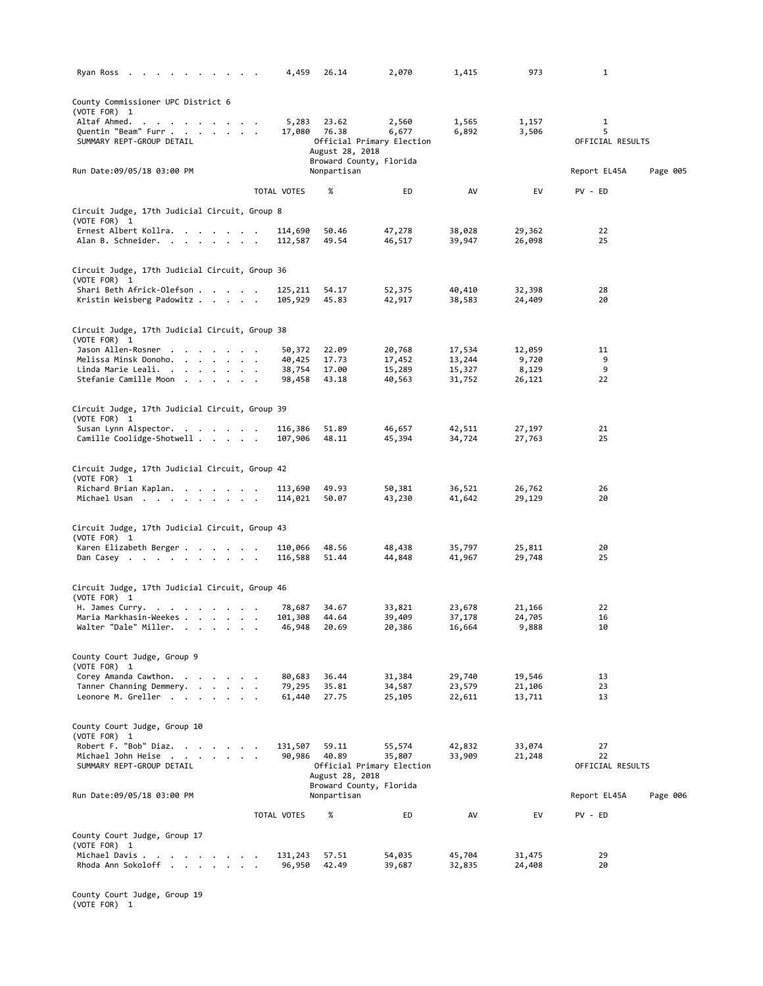| Ryan Ross                                                      | 4,459              | 26.14           | 2,070                              | 1,415            | 973              | $\mathbf{1}$          |          |
|----------------------------------------------------------------|--------------------|-----------------|------------------------------------|------------------|------------------|-----------------------|----------|
| County Commissioner UPC District 6                             |                    |                 |                                    |                  |                  |                       |          |
| (VOTE FOR) 1                                                   |                    |                 |                                    |                  |                  |                       |          |
| Altaf Ahmed.                                                   | 5,283              | 23.62           | 2,560                              | 1,565            | 1,157            | 1                     |          |
| Quentin "Beam" Furr<br>SUMMARY REPT-GROUP DETAIL               |                    | 17,080 76.38    | 6,677<br>Official Primary Election | 6,892            | 3,506            | 5<br>OFFICIAL RESULTS |          |
|                                                                |                    | August 28, 2018 |                                    |                  |                  |                       |          |
|                                                                |                    |                 | Broward County, Florida            |                  |                  |                       |          |
| Run Date:09/05/18 03:00 PM                                     |                    | Nonpartisan     |                                    |                  |                  | Report EL45A          | Page 005 |
|                                                                | TOTAL VOTES        | %               | ED                                 | AV               | EV               | PV - ED               |          |
|                                                                |                    |                 |                                    |                  |                  |                       |          |
| Circuit Judge, 17th Judicial Circuit, Group 8                  |                    |                 |                                    |                  |                  |                       |          |
| (VOTE FOR) 1                                                   |                    |                 |                                    |                  |                  |                       |          |
| Ernest Albert Kollra.<br>Alan B. Schneider.                    | 114,690<br>112,587 | 50.46<br>49.54  | 47,278<br>46,517                   | 38,028<br>39,947 | 29,362<br>26,098 | 22<br>25              |          |
|                                                                |                    |                 |                                    |                  |                  |                       |          |
|                                                                |                    |                 |                                    |                  |                  |                       |          |
| Circuit Judge, 17th Judicial Circuit, Group 36                 |                    |                 |                                    |                  |                  |                       |          |
| (VOTE FOR) 1<br>Shari Beth Africk-Olefson                      | 125,211            | 54.17           | 52,375                             | 40,410           | 32,398           | 28                    |          |
| Kristin Weisberg Padowitz                                      | 105,929            | 45.83           | 42,917                             | 38,583           | 24,409           | 20                    |          |
|                                                                |                    |                 |                                    |                  |                  |                       |          |
| Circuit Judge, 17th Judicial Circuit, Group 38                 |                    |                 |                                    |                  |                  |                       |          |
| (VOTE FOR) 1                                                   |                    |                 |                                    |                  |                  |                       |          |
| Jason Allen-Rosner                                             | 50,372             | 22.09           | 20,768                             | 17,534           | 12,059           | 11                    |          |
| Melissa Minsk Donoho.                                          | 40,425             | 17.73           | 17,452                             | 13,244           | 9,720            | 9                     |          |
| Linda Marie Leali.<br>Stefanie Camille Moon                    | 38,754             | 17.00           | 15,289                             | 15,327           | 8,129            | 9<br>22               |          |
|                                                                | 98,458             | 43.18           | 40,563                             | 31,752           | 26,121           |                       |          |
|                                                                |                    |                 |                                    |                  |                  |                       |          |
| Circuit Judge, 17th Judicial Circuit, Group 39                 |                    |                 |                                    |                  |                  |                       |          |
| (VOTE FOR) 1<br>Susan Lynn Alspector.                          | 116,386            | 51.89           | 46,657                             | 42,511           | 27,197           | 21                    |          |
| Camille Coolidge-Shotwell                                      | 107,906            | 48.11           | 45,394                             | 34,724           | 27,763           | 25                    |          |
|                                                                |                    |                 |                                    |                  |                  |                       |          |
|                                                                |                    |                 |                                    |                  |                  |                       |          |
| Circuit Judge, 17th Judicial Circuit, Group 42<br>(VOTE FOR) 1 |                    |                 |                                    |                  |                  |                       |          |
| Richard Brian Kaplan.                                          | 113,690            | 49.93           | 50,381                             | 36,521           | 26,762           | 26                    |          |
| Michael Usan                                                   | 114,021            | 50.07           | 43,230                             | 41,642           | 29,129           | 20                    |          |
|                                                                |                    |                 |                                    |                  |                  |                       |          |
| Circuit Judge, 17th Judicial Circuit, Group 43                 |                    |                 |                                    |                  |                  |                       |          |
| (VOTE FOR) 1                                                   |                    |                 |                                    |                  |                  |                       |          |
| Karen Elizabeth Berger                                         | 110,066            | 48.56           | 48,438                             | 35,797           | 25,811           | 20                    |          |
| Dan Casey                                                      | 116,588            | 51.44           | 44,848                             | 41,967           | 29,748           | 25                    |          |
|                                                                |                    |                 |                                    |                  |                  |                       |          |
| Circuit Judge, 17th Judicial Circuit, Group 46                 |                    |                 |                                    |                  |                  |                       |          |
| (VOTE FOR) 1                                                   |                    |                 |                                    |                  |                  |                       |          |
| H. James Curry.<br>Maria Markhasin-Weekes                      | 78,687<br>101,308  | 34.67<br>44.64  | 33,821<br>39,409                   | 23,678<br>37,178 | 21,166<br>24,705 | 22<br>16              |          |
| Walter "Dale" Miller.                                          | 46,948             | 20.69           | 20,386                             | 16,664           | 9,888            | 10                    |          |
|                                                                |                    |                 |                                    |                  |                  |                       |          |
|                                                                |                    |                 |                                    |                  |                  |                       |          |
| County Court Judge, Group 9<br>(VOTE FOR) 1                    |                    |                 |                                    |                  |                  |                       |          |
| Corey Amanda Cawthon.                                          | 80,683             | 36.44           | 31,384                             | 29,740           | 19,546           | 13                    |          |
| Tanner Channing Demmery.                                       | 79,295             | 35.81           | 34,587                             | 23,579           | 21,106           | 23                    |          |
| Leonore M. Greller                                             | 61,440             | 27.75           | 25,105                             | 22,611           | 13,711           | 13                    |          |
|                                                                |                    |                 |                                    |                  |                  |                       |          |
| County Court Judge, Group 10                                   |                    |                 |                                    |                  |                  |                       |          |
| (VOTE FOR) 1                                                   |                    |                 | 55,574                             |                  |                  |                       |          |
| Robert F. "Bob" Diaz.<br>Michael John Heise                    | 131,507<br>90,986  | 59.11<br>40.89  | 35,807                             | 42,832<br>33,909 | 33,074<br>21,248 | 27<br>22              |          |
| SUMMARY REPT-GROUP DETAIL                                      |                    |                 | Official Primary Election          |                  |                  | OFFICIAL RESULTS      |          |
|                                                                |                    | August 28, 2018 |                                    |                  |                  |                       |          |
|                                                                |                    |                 | Broward County, Florida            |                  |                  |                       |          |
| Run Date:09/05/18 03:00 PM                                     |                    | Nonpartisan     |                                    |                  |                  | Report EL45A          | Page 006 |
|                                                                | TOTAL VOTES        | %               | ED                                 | AV               | EV               | PV - ED               |          |
|                                                                |                    |                 |                                    |                  |                  |                       |          |
| County Court Judge, Group 17<br>(VOTE FOR) 1                   |                    |                 |                                    |                  |                  |                       |          |
| Michael Davis                                                  | 131,243            | 57.51           | 54,035                             | 45,704           | 31,475           | 29                    |          |
| Rhoda Ann Sokoloff                                             | 96,950             | 42.49           | 39,687                             | 32,835           | 24,408           | 20                    |          |
|                                                                |                    |                 |                                    |                  |                  |                       |          |

County Court Judge, Group 19 (VOTE FOR) 1